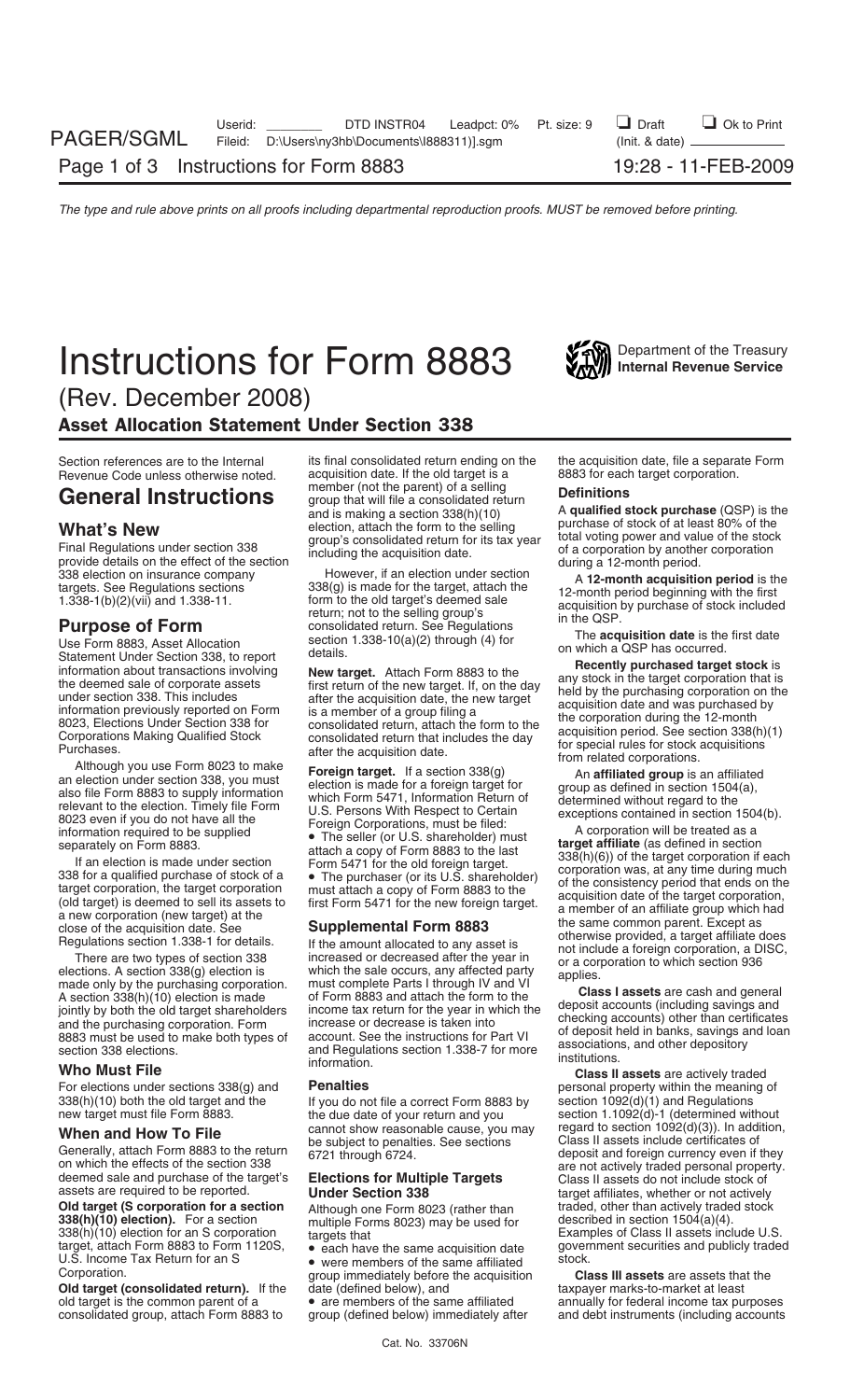# **Instructions for Form 8883** *Vall Department of the Treasury Instructions* for *Compartment of the Treasury*



(Rev. December 2008)

### Asset Allocation Statement Under Section 338

Generally, attach Form 8883 to the return 6721 through 6724.<br>
on which the effects of the section 338 extending the section 338 are not actively traded personal property.<br>
deemed sale and purchase of the target's **Election** 

**Old target (S corporation for a section** Although one Form 8023 (rather than traded, other than actively trade<br>**338(h)(10) election).** For a section multiple Forms 8023) may be used for described in section 1504(a)(4). **338(h)(10) election).** For a section multiple Forms 8023) may be used for described in section 1504(a)(4).<br>338(h)(10) election for an S corporation targets that

**Old target (consolidated return).** If the date (defined below), and taxpayer marks-to-market at least old target is the common parent of a • are members of the same affiliated annually for federal income tax purposes consolidated group, attach Form 8883 to group (defined below) immediately after and debt instruments (inclu consolidated group, attach Form 8883 to

Section references are to the Internal its final consolidated return ending on the the acquisition date, file a separate Form<br>Revenue Code unless otherwise noted. acquisition date. If the old target is a 8883 for each targ Revenue Code unless otherwise noted. acquisition date. If the old target is a  $\bullet$ 

**When and How To File** cannot show reasonable cause, you may regard to section 1092(d)(3)). In addition,<br>Generally, attach Form 8883 to the return 6721 through 6724.<br>Generally, attach Form 8883 to the return 6721 through 6

U.S. Income Tax Heturn for an S<br>Corporation. Comporation creates are assets that the group immediately before the acquisition **Class III assets** are assets that the group immediately before the acquisition

**General Instructions** member foot the parent of the particular spectra and teaching the minimum of the control of the particular spectra and teaching the section and the section and the minimum of the section and the sec

**For elections under sections 338(g) and Penalties**<br>For elections under sections 338(g) and **Penalties Personal property within the meaning of 338(h)(10)** both the old target and the **Penalties Personal property within**  $338(h)(10)$  both the old target and the section 1092(d)(1) and Regulations If you do not file a correct Form 8883 by section 1092(d)(1) and Regulations If you do new target must file Form 8883. section 1.1092(d)-1 (determi deemed sale and purchase of the target's **Elections for Multiple Targets** Class II assets do not include stock of assets are required to be reported.<br> **Under Section 338** target affiliates, whether or not actively<br> **Old ta** 338(h)(10) election for an S corporation targets that Examples of Class II assets include U.S. target, attach Form 8883 to Form 1120S, vech have the same acquisition date government securities and publicly traded U.S. Inco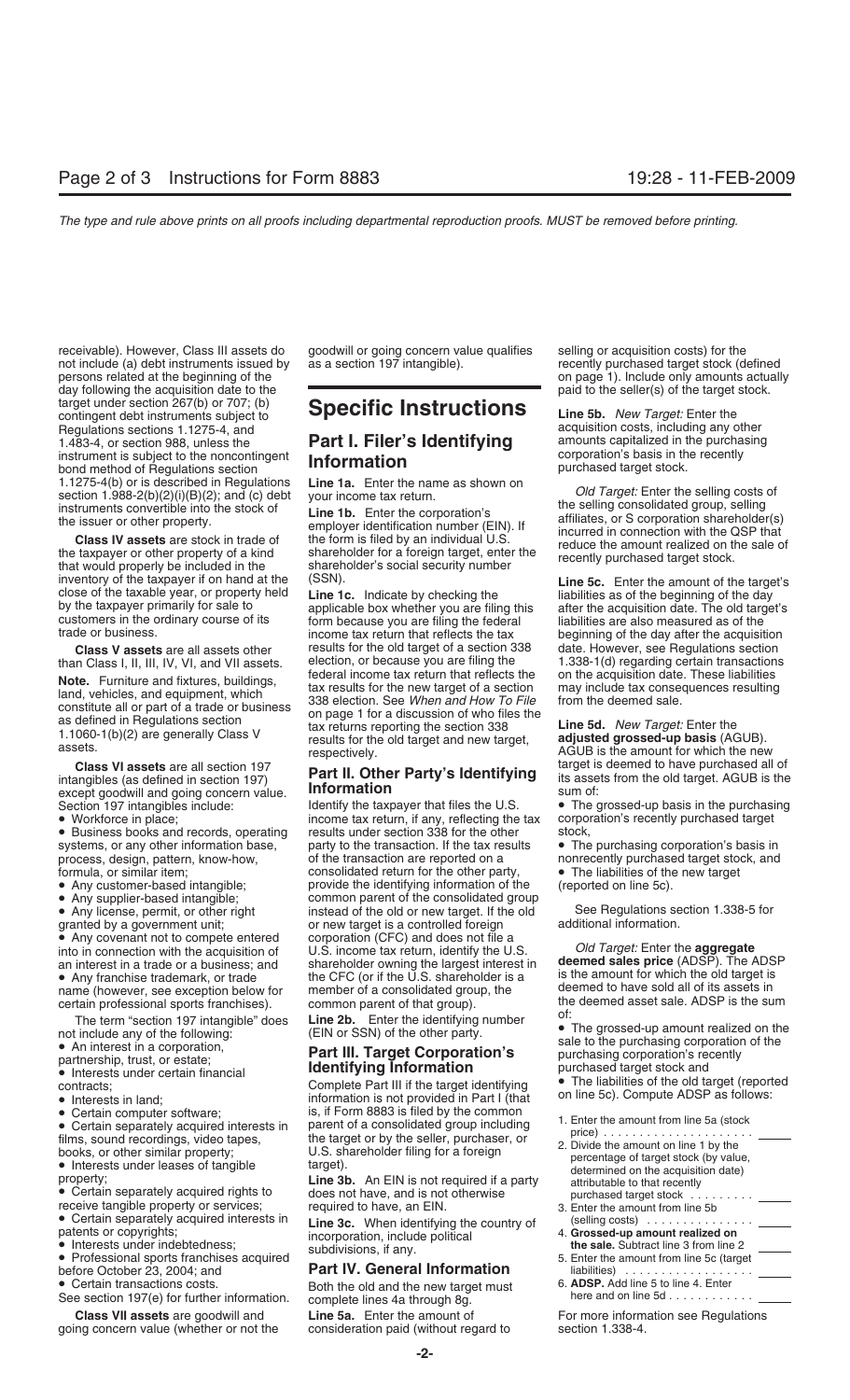receivable). However, Class III assets do goodwill or going concern value qualifies selling or acquisition costs) for the not include (a) debt instruments issued by as a section 197 intangible). not include (a) debt instruments issued by as a section 197 intangible). The recently purchased target stock (defined persons related at the beginning of the only amounts actually be on page 1). Include only amounts actually day following the acquisition date to the **paid to the seller** paid to the seller(s) of the target stock. target under section 267(b) or 707; (b) contingent debt instruments subject to **Specific Instructions Line 5b.** *New Target:* Enter the Regulations sections 1.1275-4, and<br>1.483-4, or section 988, unless the **Part I. Filer's Identifying** amounts capitalized in the purchasing instrument is subject to the noncontingent<br>bond method of Regulations section **corporation** bond method of Regulations section **bond method of Regulations section**<br>1.1275-4(b) or is described in Regulations **Line 1a.** Enter the name as shown on

inventory of the taxpayer if on hand at the (SSN).<br>
close of the taxable year, or property held<br>
by the taxpayer primarily for sale to applicable box whether you are filing this as of the beginning of the day<br>
customers in

**Part II. Other Party's Identifying** its assets are all section 197<br>its assets are different one of the original target old target from the old target old target. Against the old target. Against the old target of the old t except goodwill and going concern value. **INFORMATION**<br>Section 197 intangibles include: **Information** Identify the taxpayer that files the U.S.

- 
- 

• Any covenant not to compete entered corporation (CFC) and does not file a<br>into in connection with the acquisition of U.S. income tax return, identify the U.S.

- 
- 

See section 197(e) for further information. complete lines 4a through 8g.

**Class VII assets** are goodwill and **Line 5a.** Enter the amount of For more information see Regulations going concern value (whether or not the consideration paid (without regard to section 1.338-4.

## 1.483-4, or section 988, unless the **Part I. Filer's Identifying** amounts capitalized in the purchasing

customers in the ordinary course of its form because you are filing the federal liabilities are also measured as of the income tax return that reflects the tax beginning of the day after the acquisition class V assets are **Class V assets** are all assets other results for the old target of a section 338 than Class I, II, III, IV, VI, and VII assets. election, or because you are filing the election, or because you are filing the  $1.338-1(d)$  regarding certain transactions federal income tax return that reflects the on the acquisition date. These liabilities **Note.** Furniture and fixtures, buildings,<br>
land, vehicles, and equipment, which<br>
constitute all or part of a trade or business<br>
as defined in Regulations section<br>
1.1060-1(b)(2) are generally Class V<br>
assets.<br>
<br>
<br>
<br>
<br>
<br>
<br>

• Workforce in place; income tax return, if any, reflecting the tax corporal version 338 for the other stock,<br>• Business books and records, operating results under section 338 for the other stock, • Business books and records, operating results under section 338 for the other stock,<br>systems, or any other information base, party to the transaction. If the tax results • The purchasing corporation's basis in systems, or any other information base, party to the transaction. If the tax results process, design, pattern, know-how, of the transaction are reported on a process, design, pattern, know-how, of the transaction are reported on a nonrecently purchased target stock, and<br>
formula, or similar item: consolidated return for the other party, • The liabilities of the new target formula, or similar item; consolidated return for the other party, and the liabilities of the new target <br>• Any customer-based intangible; provide the identifying information of the (reported on line 5c). provide the identifying information of the • Any supplier-based intangible; common parent of the consolidated group<br>• Any license, permit, or other right instead of the old or new target. If the old instead of the old or new target. If the old See Regulations section 1.338-5 for<br>or new target is a controlled foreign additional information. granted by a government unit; or new target is a controlled foreign<br>• Any covenant not to compete entered corporation (CFC) and does not file a into in connection with the acquisition of U.S. income tax return, identify the U.S. *Old Target:* Enter the **aggregate** an interest in a trade or a business; and shareholder owning the largest interest in **deemed sales price** (ADSP). The ADSP • Any franchise trademark, or trade the CFC (or if the U.S. shareholder is a is the amount for which the old target is<br>name (however, see exception below for member of a consolidated group, the deemed to have sold all of i name (however, see exception below for member of a consolidated group, the deemed to have sold all of its assets in<br>certain professional sports franchises). common parent of that group). The deemed asset sale. ADSP is the certain professional sports franchises). common parent of that group). the deemed assets sale. ADSP is the summary is the summary is the summary is the summary is the summary is the summary is the summary is the summary is

• Interests under certain financial **Identifying Information** purchased target stock and<br>
• Interests in land; compute ADSP as follows:<br>
• Interests in land; information is not provided in Part I (that on line 5c). Compute

• Certain transactions costs. Both the old and the new target must 6. **ADSP.** Add line 5 to line 4. Enter

1.1275-4(b) or is described in Regulations<br>
section 1.988-2(b)(2)(i)(B)(2); and (c) debt<br>
instruments convertible into the stock of<br>
the selling consolidated group, selling<br>
instruments convertible into the stock of<br>
the s

**Class VI assets** are all section 197 **Part II. Other Party's Identifying** target is deemed to have purchased all of anglibles (as defined in section 197) **Part II. Other Party's Identifying** its assets from the old target

• The grossed-up basis in the purchasing corporation's recently purchased target

The term "section 197 intangible" does<br>
not include any of the following:<br>
• An interest in a corporation,<br>
partnership, trust, or estate;<br>
• Interests under certain financial<br>
• Interests under certain financial<br>
• Inter

- 
- Certain separately acquired interests in the selling osts) is if Form and the consolidated group including<br>
Films, sound recordings, video tapes, the target or by the seller, purchaser, or<br>
the target or by the seller, patents or copyrights;<br>
a incorporation, include political<br>
the sale. Subtract line 3 from line 2<br>
Professional sports franchises acquired<br>
Professional sports franchises acquired<br>
Professional sports franchises acquired<br>
- before October 23, 2004; and **Part IV. General Information** liabilities) ..................